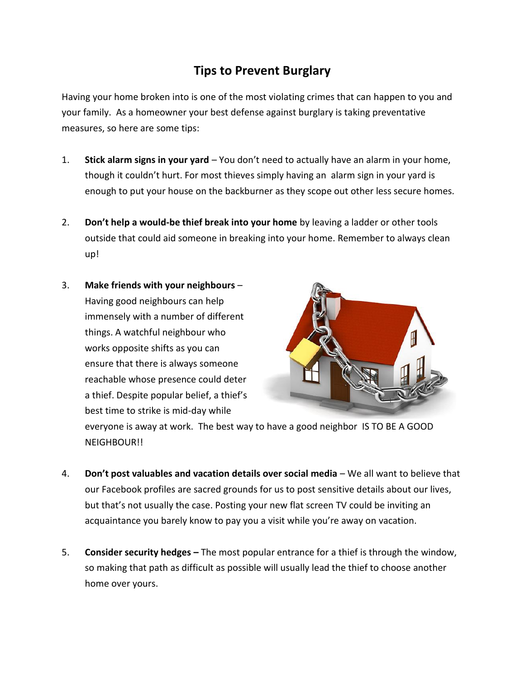## **Tips to Prevent Burglary**

Having your home broken into is one of the most violating crimes that can happen to you and your family. As a homeowner your best defense against burglary is taking preventative measures, so here are some tips:

- 1. **Stick alarm signs in your yard** You don't need to actually have an alarm in your home, though it couldn't hurt. For most thieves simply having an alarm sign in your yard is enough to put your house on the backburner as they scope out other less secure homes.
- 2. **Don't help a would-be thief break into your home** by leaving a ladder or other tools outside that could aid someone in breaking into your home. Remember to always clean up!
- 3. **Make friends with your neighbours** Having good neighbours can help immensely with a number of different things. A watchful neighbour who works opposite shifts as you can ensure that there is always someone reachable whose presence could deter a thief. Despite popular belief, a thief's best time to strike is mid-day while



everyone is away at work. The best way to have a good neighbor IS TO BE A GOOD NEIGHBOUR!!

- 4. **Don't post valuables and vacation details over social media** We all want to believe that our Facebook profiles are sacred grounds for us to post sensitive details about our lives, but that's not usually the case. Posting your new flat screen TV could be inviting an acquaintance you barely know to pay you a visit while you're away on vacation.
- 5. **Consider security hedges –** The most popular entrance for a thief is through the window, so making that path as difficult as possible will usually lead the thief to choose another home over yours.